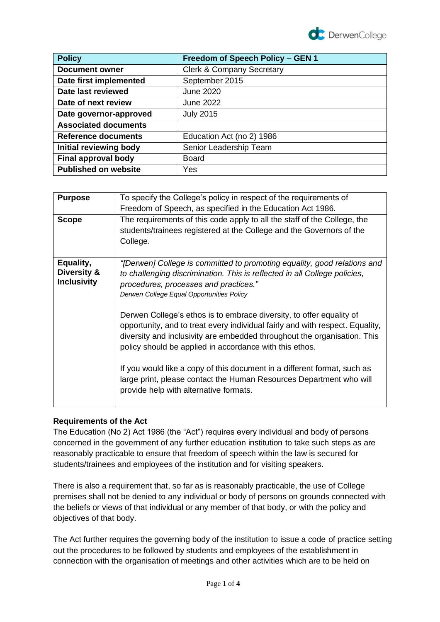

| <b>Policy</b>               | Freedom of Speech Policy - GEN 1     |
|-----------------------------|--------------------------------------|
| <b>Document owner</b>       | <b>Clerk &amp; Company Secretary</b> |
| Date first implemented      | September 2015                       |
| Date last reviewed          | <b>June 2020</b>                     |
| Date of next review         | June 2022                            |
| Date governor-approved      | <b>July 2015</b>                     |
| <b>Associated documents</b> |                                      |
| Reference documents         | Education Act (no 2) 1986            |
| Initial reviewing body      | Senior Leadership Team               |
| Final approval body         | <b>Board</b>                         |
| <b>Published on website</b> | Yes                                  |

| <b>Purpose</b>     | To specify the College's policy in respect of the requirements of                                                                                                                                                                                                                            |
|--------------------|----------------------------------------------------------------------------------------------------------------------------------------------------------------------------------------------------------------------------------------------------------------------------------------------|
|                    | Freedom of Speech, as specified in the Education Act 1986.                                                                                                                                                                                                                                   |
| <b>Scope</b>       | The requirements of this code apply to all the staff of the College, the                                                                                                                                                                                                                     |
|                    | students/trainees registered at the College and the Governors of the                                                                                                                                                                                                                         |
|                    | College.                                                                                                                                                                                                                                                                                     |
|                    |                                                                                                                                                                                                                                                                                              |
| Equality,          | "[Derwen] College is committed to promoting equality, good relations and                                                                                                                                                                                                                     |
| Diversity &        | to challenging discrimination. This is reflected in all College policies,                                                                                                                                                                                                                    |
| <b>Inclusivity</b> | procedures, processes and practices."                                                                                                                                                                                                                                                        |
|                    | Derwen College Equal Opportunities Policy                                                                                                                                                                                                                                                    |
|                    | Derwen College's ethos is to embrace diversity, to offer equality of<br>opportunity, and to treat every individual fairly and with respect. Equality,<br>diversity and inclusivity are embedded throughout the organisation. This<br>policy should be applied in accordance with this ethos. |
|                    | If you would like a copy of this document in a different format, such as<br>large print, please contact the Human Resources Department who will<br>provide help with alternative formats.                                                                                                    |

# **Requirements of the Act**

The Education (No 2) Act 1986 (the "Act") requires every individual and body of persons concerned in the government of any further education institution to take such steps as are reasonably practicable to ensure that freedom of speech within the law is secured for students/trainees and employees of the institution and for visiting speakers.

There is also a requirement that, so far as is reasonably practicable, the use of College premises shall not be denied to any individual or body of persons on grounds connected with the beliefs or views of that individual or any member of that body, or with the policy and objectives of that body.

The Act further requires the governing body of the institution to issue a code of practice setting out the procedures to be followed by students and employees of the establishment in connection with the organisation of meetings and other activities which are to be held on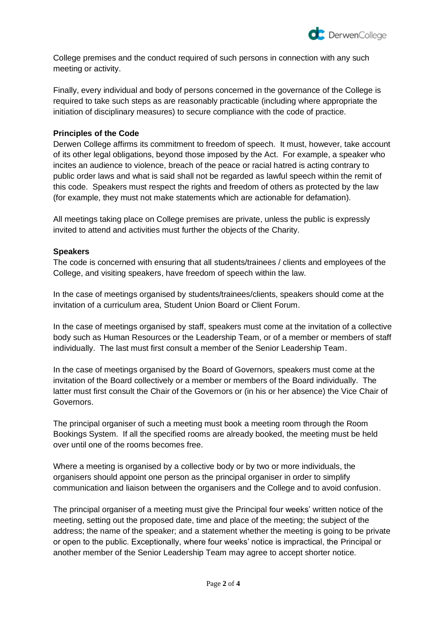

College premises and the conduct required of such persons in connection with any such meeting or activity.

Finally, every individual and body of persons concerned in the governance of the College is required to take such steps as are reasonably practicable (including where appropriate the initiation of disciplinary measures) to secure compliance with the code of practice.

### **Principles of the Code**

Derwen College affirms its commitment to freedom of speech. It must, however, take account of its other legal obligations, beyond those imposed by the Act. For example, a speaker who incites an audience to violence, breach of the peace or racial hatred is acting contrary to public order laws and what is said shall not be regarded as lawful speech within the remit of this code. Speakers must respect the rights and freedom of others as protected by the law (for example, they must not make statements which are actionable for defamation).

All meetings taking place on College premises are private, unless the public is expressly invited to attend and activities must further the objects of the Charity.

## **Speakers**

The code is concerned with ensuring that all students/trainees / clients and employees of the College, and visiting speakers, have freedom of speech within the law.

In the case of meetings organised by students/trainees/clients, speakers should come at the invitation of a curriculum area, Student Union Board or Client Forum.

In the case of meetings organised by staff, speakers must come at the invitation of a collective body such as Human Resources or the Leadership Team, or of a member or members of staff individually. The last must first consult a member of the Senior Leadership Team.

In the case of meetings organised by the Board of Governors, speakers must come at the invitation of the Board collectively or a member or members of the Board individually. The latter must first consult the Chair of the Governors or (in his or her absence) the Vice Chair of Governors.

The principal organiser of such a meeting must book a meeting room through the Room Bookings System. If all the specified rooms are already booked, the meeting must be held over until one of the rooms becomes free.

Where a meeting is organised by a collective body or by two or more individuals, the organisers should appoint one person as the principal organiser in order to simplify communication and liaison between the organisers and the College and to avoid confusion.

The principal organiser of a meeting must give the Principal four weeks' written notice of the meeting, setting out the proposed date, time and place of the meeting; the subject of the address; the name of the speaker; and a statement whether the meeting is going to be private or open to the public. Exceptionally, where four weeks' notice is impractical, the Principal or another member of the Senior Leadership Team may agree to accept shorter notice.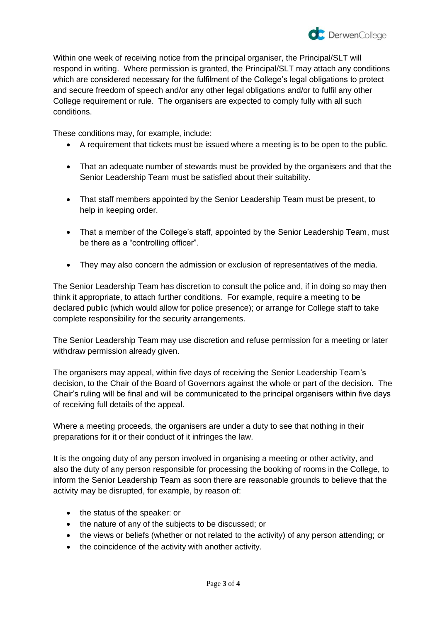

Within one week of receiving notice from the principal organiser, the Principal/SLT will respond in writing. Where permission is granted, the Principal/SLT may attach any conditions which are considered necessary for the fulfilment of the College's legal obligations to protect and secure freedom of speech and/or any other legal obligations and/or to fulfil any other College requirement or rule. The organisers are expected to comply fully with all such conditions.

These conditions may, for example, include:

- A requirement that tickets must be issued where a meeting is to be open to the public.
- That an adequate number of stewards must be provided by the organisers and that the Senior Leadership Team must be satisfied about their suitability.
- That staff members appointed by the Senior Leadership Team must be present, to help in keeping order.
- That a member of the College's staff, appointed by the Senior Leadership Team, must be there as a "controlling officer".
- They may also concern the admission or exclusion of representatives of the media.

The Senior Leadership Team has discretion to consult the police and, if in doing so may then think it appropriate, to attach further conditions. For example, require a meeting to be declared public (which would allow for police presence); or arrange for College staff to take complete responsibility for the security arrangements.

The Senior Leadership Team may use discretion and refuse permission for a meeting or later withdraw permission already given.

The organisers may appeal, within five days of receiving the Senior Leadership Team's decision, to the Chair of the Board of Governors against the whole or part of the decision. The Chair's ruling will be final and will be communicated to the principal organisers within five days of receiving full details of the appeal.

Where a meeting proceeds, the organisers are under a duty to see that nothing in their preparations for it or their conduct of it infringes the law.

It is the ongoing duty of any person involved in organising a meeting or other activity, and also the duty of any person responsible for processing the booking of rooms in the College, to inform the Senior Leadership Team as soon there are reasonable grounds to believe that the activity may be disrupted, for example, by reason of:

- the status of the speaker: or
- the nature of any of the subjects to be discussed; or
- the views or beliefs (whether or not related to the activity) of any person attending; or
- the coincidence of the activity with another activity.